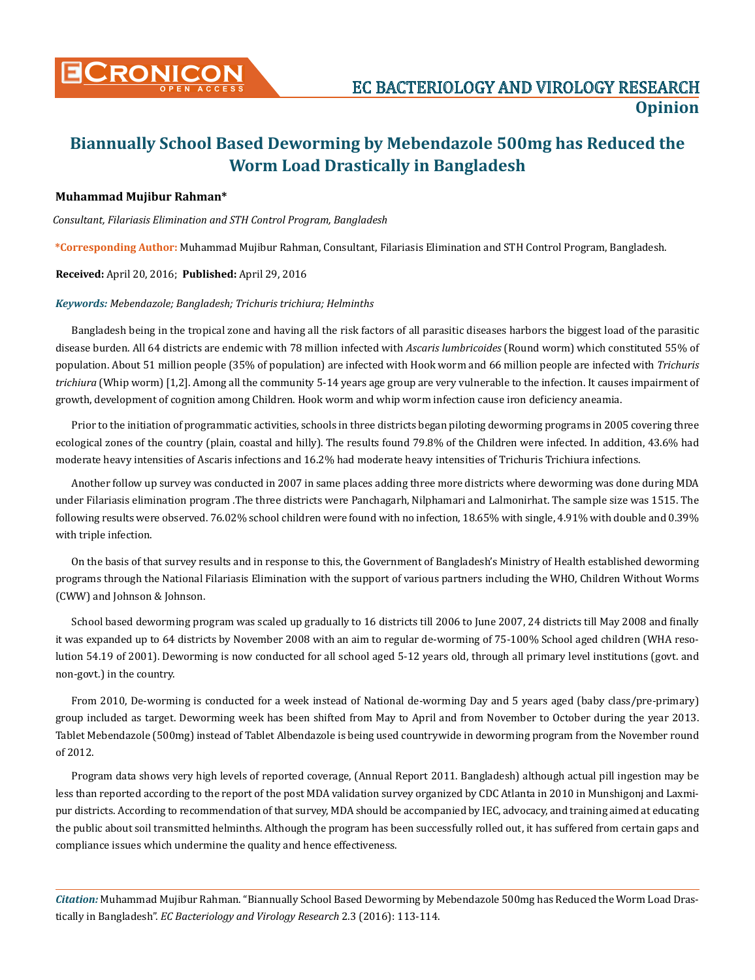

# **Biannually School Based Deworming by Mebendazole 500mg has Reduced the Worm Load Drastically in Bangladesh**

## **Muhammad Mujibur Rahman\***

*Consultant, Filariasis Elimination and STH Control Program, Bangladesh* 

**\*Corresponding Author:** Muhammad Mujibur Rahman, Consultant, Filariasis Elimination and STH Control Program, Bangladesh.

**Received:** April 20, 2016; **Published:** April 29, 2016

#### *Keywords: Mebendazole; Bangladesh; Trichuris trichiura; Helminths*

Bangladesh being in the tropical zone and having all the risk factors of all parasitic diseases harbors the biggest load of the parasitic disease burden. All 64 districts are endemic with 78 million infected with *Ascaris lumbricoides* (Round worm) which constituted 55% of population. About 51 million people (35% of population) are infected with Hook worm and 66 million people are infected with *Trichuris trichiura* (Whip worm) [1,2]. Among all the community 5-14 years age group are very vulnerable to the infection. It causes impairment of growth, development of cognition among Children. Hook worm and whip worm infection cause iron deficiency aneamia.

Prior to the initiation of programmatic activities, schools in three districts began piloting deworming programs in 2005 covering three ecological zones of the country (plain, coastal and hilly). The results found 79.8% of the Children were infected. In addition, 43.6% had moderate heavy intensities of Ascaris infections and 16.2% had moderate heavy intensities of Trichuris Trichiura infections.

Another follow up survey was conducted in 2007 in same places adding three more districts where deworming was done during MDA under Filariasis elimination program .The three districts were Panchagarh, Nilphamari and Lalmonirhat. The sample size was 1515. The following results were observed. 76.02% school children were found with no infection, 18.65% with single, 4.91% with double and 0.39% with triple infection.

On the basis of that survey results and in response to this, the Government of Bangladesh's Ministry of Health established deworming programs through the National Filariasis Elimination with the support of various partners including the WHO, Children Without Worms (CWW) and Johnson & Johnson.

School based deworming program was scaled up gradually to 16 districts till 2006 to June 2007, 24 districts till May 2008 and finally it was expanded up to 64 districts by November 2008 with an aim to regular de-worming of 75-100% School aged children (WHA resolution 54.19 of 2001). Deworming is now conducted for all school aged 5-12 years old, through all primary level institutions (govt. and non-govt.) in the country.

From 2010, De-worming is conducted for a week instead of National de-worming Day and 5 years aged (baby class/pre-primary) group included as target. Deworming week has been shifted from May to April and from November to October during the year 2013. Tablet Mebendazole (500mg) instead of Tablet Albendazole is being used countrywide in deworming program from the November round of 2012.

Program data shows very high levels of reported coverage, (Annual Report 2011. Bangladesh) although actual pill ingestion may be less than reported according to the report of the post MDA validation survey organized by CDC Atlanta in 2010 in Munshigonj and Laxmipur districts. According to recommendation of that survey, MDA should be accompanied by IEC, advocacy, and training aimed at educating the public about soil transmitted helminths. Although the program has been successfully rolled out, it has suffered from certain gaps and compliance issues which undermine the quality and hence effectiveness.

*Citation:* Muhammad Mujibur Rahman. "Biannually School Based Deworming by Mebendazole 500mg has Reduced the Worm Load Drastically in Bangladesh". *EC Bacteriology and Virology Research* 2.3 (2016): 113-114.